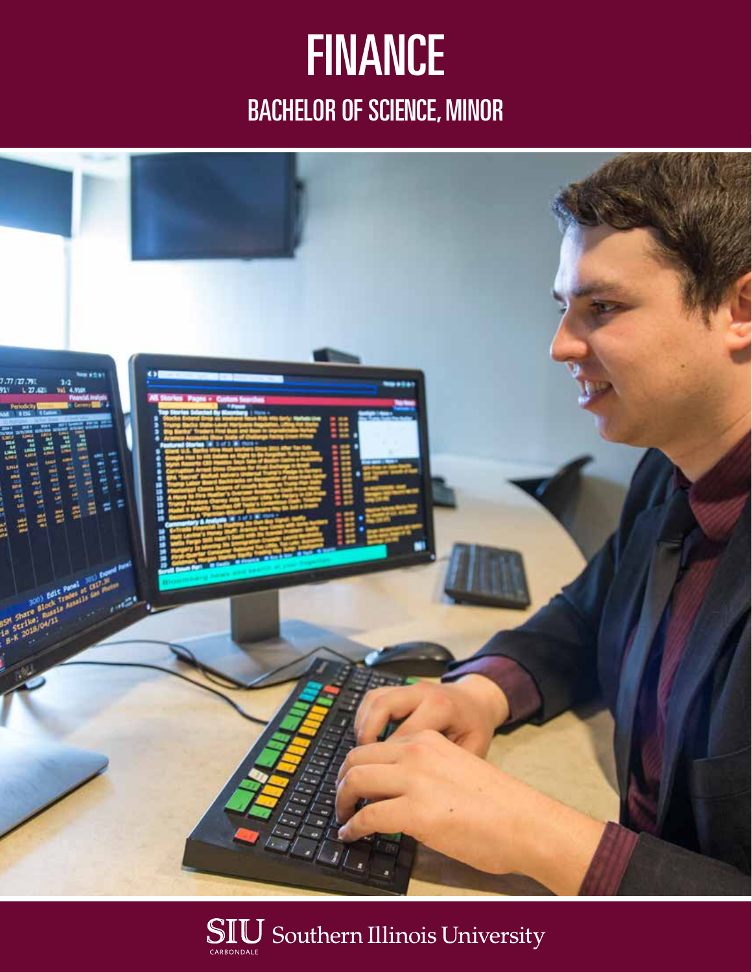## **FINANCE** BACHELOR OF SCIENCE, MINOR